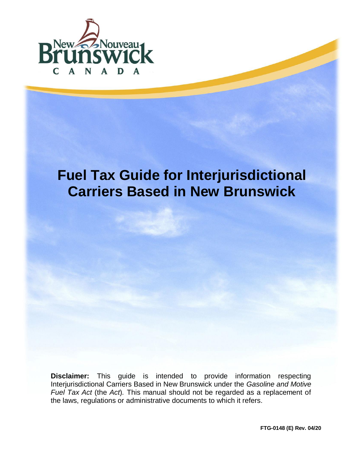

# **Fuel Tax Guide for Interjurisdictional Carriers Based in New Brunswick**

**Disclaimer:** This guide is intended to provide information respecting Interjurisdictional Carriers Based in New Brunswick under the *Gasoline and Motive Fuel Tax Act* (the *Act*)*.* This manual should not be regarded as a replacement of the laws, regulations or administrative documents to which it refers.

**FTG-0148 (E) Rev. 04/20**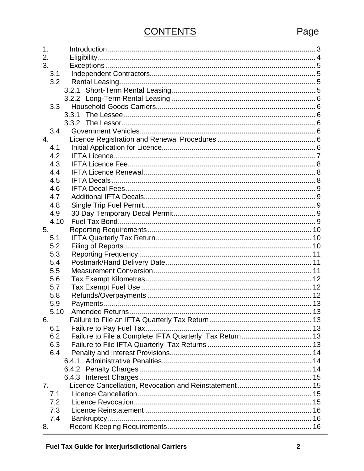# **CONTENTS**

|--|--|

| 1.               |            |                                                         |  |
|------------------|------------|---------------------------------------------------------|--|
| 2.               |            |                                                         |  |
| 3.               |            |                                                         |  |
|                  | 3.1        |                                                         |  |
|                  | 3.2        |                                                         |  |
|                  |            |                                                         |  |
|                  |            |                                                         |  |
|                  | 3.3        |                                                         |  |
|                  |            | 3.3.1                                                   |  |
|                  |            |                                                         |  |
|                  | 3.4        |                                                         |  |
| $\overline{4}$ . |            |                                                         |  |
|                  | 4.1        |                                                         |  |
|                  | 4.2        |                                                         |  |
|                  | 4.3        |                                                         |  |
|                  | 4.4        |                                                         |  |
|                  | 4.5        |                                                         |  |
|                  | 4.6        |                                                         |  |
|                  | 4.7        |                                                         |  |
|                  | 4.8        |                                                         |  |
|                  | 4.9        |                                                         |  |
|                  | 4.10       |                                                         |  |
| 5.               |            |                                                         |  |
|                  | 5.1        |                                                         |  |
|                  | 5.2        |                                                         |  |
|                  | 5.3        |                                                         |  |
|                  | 5.4        |                                                         |  |
|                  | 5.5        |                                                         |  |
|                  | 5.6        |                                                         |  |
|                  | 5.7        |                                                         |  |
|                  | 5.8        |                                                         |  |
|                  | 5.9        |                                                         |  |
|                  | 5.10       |                                                         |  |
| 6.               |            |                                                         |  |
|                  | 6.1        |                                                         |  |
|                  | 6.2        | Failure to File a Complete IFTA Quarterly Tax Return 13 |  |
|                  | 6.3        |                                                         |  |
|                  | 6.4        |                                                         |  |
|                  |            |                                                         |  |
|                  |            |                                                         |  |
|                  |            |                                                         |  |
| 7.               |            |                                                         |  |
|                  | 7.1        |                                                         |  |
|                  | 7.2        |                                                         |  |
|                  |            |                                                         |  |
|                  | 7.3<br>7.4 |                                                         |  |
|                  |            |                                                         |  |
| 8.               |            |                                                         |  |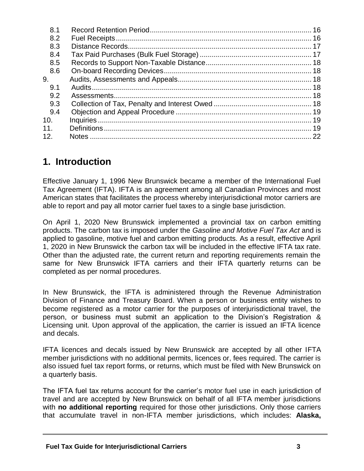| 8.1 |  |
|-----|--|
| 8.2 |  |
| 8.3 |  |
| 8.4 |  |
| 8.5 |  |
| 8.6 |  |
| 9.  |  |
| 9.1 |  |
| 9.2 |  |
| 9.3 |  |
| 9.4 |  |
| 10. |  |
| 11. |  |
| 12. |  |

# <span id="page-2-0"></span>**1. Introduction**

Effective January 1, 1996 New Brunswick became a member of the International Fuel Tax Agreement (IFTA). IFTA is an agreement among all Canadian Provinces and most American states that facilitates the process whereby interjurisdictional motor carriers are able to report and pay all motor carrier fuel taxes to a single base jurisdiction.

On April 1, 2020 New Brunswick implemented a provincial tax on carbon emitting products. The carbon tax is imposed under the *Gasoline and Motive Fuel Tax Act* and is applied to gasoline, motive fuel and carbon emitting products. As a result, effective April 1, 2020 in New Brunswick the carbon tax will be included in the effective IFTA tax rate. Other than the adjusted rate, the current return and reporting requirements remain the same for New Brunswick IFTA carriers and their IFTA quarterly returns can be completed as per normal procedures.

In New Brunswick, the IFTA is administered through the Revenue Administration Division of Finance and Treasury Board. When a person or business entity wishes to become registered as a motor carrier for the purposes of interjurisdictional travel, the person, or business must submit an application to the Division's Registration & Licensing unit. Upon approval of the application, the carrier is issued an IFTA licence and decals.

IFTA licences and decals issued by New Brunswick are accepted by all other IFTA member jurisdictions with no additional permits, licences or, fees required. The carrier is also issued fuel tax report forms, or returns, which must be filed with New Brunswick on a quarterly basis.

The IFTA fuel tax returns account for the carrier's motor fuel use in each jurisdiction of travel and are accepted by New Brunswick on behalf of all IFTA member jurisdictions with **no additional reporting** required for those other jurisdictions. Only those carriers that accumulate travel in non-IFTA member jurisdictions, which includes: **Alaska,**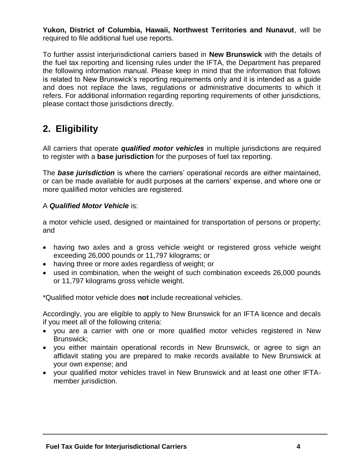**Yukon, District of Columbia, Hawaii, Northwest Territories and Nunavut**, will be required to file additional fuel use reports.

To further assist interjurisdictional carriers based in **New Brunswick** with the details of the fuel tax reporting and licensing rules under the IFTA, the Department has prepared the following information manual. Please keep in mind that the information that follows is related to New Brunswick's reporting requirements only and it is intended as a guide and does not replace the laws, regulations or administrative documents to which it refers. For additional information regarding reporting requirements of other jurisdictions, please contact those jurisdictions directly.

# <span id="page-3-0"></span>**2. Eligibility**

All carriers that operate *qualified motor vehicles* in multiple jurisdictions are required to register with a **base jurisdiction** for the purposes of fuel tax reporting.

The *base jurisdiction* is where the carriers' operational records are either maintained, or can be made available for audit purposes at the carriers' expense, and where one or more qualified motor vehicles are registered.

#### A *Qualified Motor Vehicle* is:

a motor vehicle used, designed or maintained for transportation of persons or property; and

- having two axles and a gross vehicle weight or registered gross vehicle weight exceeding 26,000 pounds or 11,797 kilograms; or
- having three or more axles regardless of weight; or
- used in combination, when the weight of such combination exceeds 26,000 pounds or 11,797 kilograms gross vehicle weight.

\*Qualified motor vehicle does **not** include recreational vehicles.

Accordingly, you are eligible to apply to New Brunswick for an IFTA licence and decals if you meet all of the following criteria:

- you are a carrier with one or more qualified motor vehicles registered in New Brunswick;
- you either maintain operational records in New Brunswick, or agree to sign an affidavit stating you are prepared to make records available to New Brunswick at your own expense; and
- your qualified motor vehicles travel in New Brunswick and at least one other IFTAmember jurisdiction.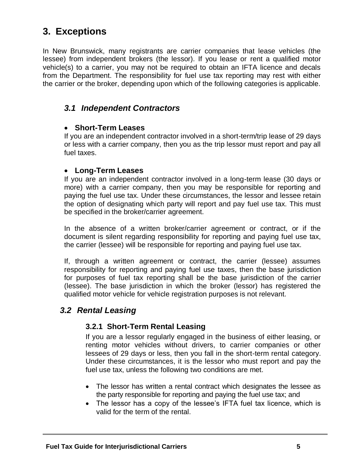# <span id="page-4-0"></span>**3. Exceptions**

In New Brunswick, many registrants are carrier companies that lease vehicles (the lessee) from independent brokers (the lessor). If you lease or rent a qualified motor vehicle(s) to a carrier, you may not be required to obtain an IFTA licence and decals from the Department. The responsibility for fuel use tax reporting may rest with either the carrier or the broker, depending upon which of the following categories is applicable.

#### <span id="page-4-1"></span>*3.1 Independent Contractors*

#### • **Short-Term Leases**

If you are an independent contractor involved in a short-term/trip lease of 29 days or less with a carrier company, then you as the trip lessor must report and pay all fuel taxes.

#### • **Long-Term Leases**

If you are an independent contractor involved in a long-term lease (30 days or more) with a carrier company, then you may be responsible for reporting and paying the fuel use tax. Under these circumstances, the lessor and lessee retain the option of designating which party will report and pay fuel use tax. This must be specified in the broker/carrier agreement.

In the absence of a written broker/carrier agreement or contract, or if the document is silent regarding responsibility for reporting and paying fuel use tax, the carrier (lessee) will be responsible for reporting and paying fuel use tax.

If, through a written agreement or contract, the carrier (lessee) assumes responsibility for reporting and paying fuel use taxes, then the base jurisdiction for purposes of fuel tax reporting shall be the base jurisdiction of the carrier (lessee). The base jurisdiction in which the broker (lessor) has registered the qualified motor vehicle for vehicle registration purposes is not relevant.

#### <span id="page-4-3"></span><span id="page-4-2"></span>*3.2 Rental Leasing*

#### **3.2.1 Short-Term Rental Leasing**

If you are a lessor regularly engaged in the business of either leasing, or renting motor vehicles without drivers, to carrier companies or other lessees of 29 days or less, then you fall in the short-term rental category. Under these circumstances, it is the lessor who must report and pay the fuel use tax, unless the following two conditions are met.

- The lessor has written a rental contract which designates the lessee as the party responsible for reporting and paying the fuel use tax; and
- The lessor has a copy of the lessee's IFTA fuel tax licence, which is valid for the term of the rental.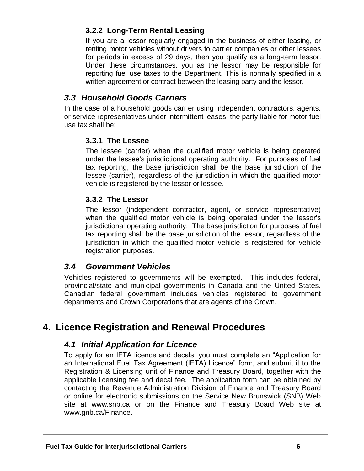#### <span id="page-5-0"></span>**3.2.2 Long-Term Rental Leasing**

If you are a lessor regularly engaged in the business of either leasing, or renting motor vehicles without drivers to carrier companies or other lessees for periods in excess of 29 days, then you qualify as a long-term lessor. Under these circumstances, you as the lessor may be responsible for reporting fuel use taxes to the Department. This is normally specified in a written agreement or contract between the leasing party and the lessor.

#### <span id="page-5-1"></span>*3.3 Household Goods Carriers*

<span id="page-5-2"></span>In the case of a household goods carrier using independent contractors, agents, or service representatives under intermittent leases, the party liable for motor fuel use tax shall be:

#### **3.3.1 The Lessee**

The lessee (carrier) when the qualified motor vehicle is being operated under the lessee's jurisdictional operating authority. For purposes of fuel tax reporting, the base jurisdiction shall be the base jurisdiction of the lessee (carrier), regardless of the jurisdiction in which the qualified motor vehicle is registered by the lessor or lessee.

#### <span id="page-5-3"></span>**3.3.2 The Lessor**

The lessor (independent contractor, agent, or service representative) when the qualified motor vehicle is being operated under the lessor's jurisdictional operating authority. The base jurisdiction for purposes of fuel tax reporting shall be the base jurisdiction of the lessor, regardless of the jurisdiction in which the qualified motor vehicle is registered for vehicle registration purposes.

#### <span id="page-5-4"></span>*3.4 Government Vehicles*

Vehicles registered to governments will be exempted. This includes federal, provincial/state and municipal governments in Canada and the United States. Canadian federal government includes vehicles registered to government departments and Crown Corporations that are agents of the Crown.

# <span id="page-5-6"></span><span id="page-5-5"></span>**4. Licence Registration and Renewal Procedures**

#### *4.1 Initial Application for Licence*

To apply for an IFTA licence and decals, you must complete an "Application for an International Fuel Tax Agreement (IFTA) Licence" form, and submit it to the Registration & Licensing unit of Finance and Treasury Board, together with the applicable licensing fee and decal fee. The application form can be obtained by contacting the Revenue Administration Division of Finance and Treasury Board or online for electronic submissions on the Service New Brunswick (SNB) Web site at [www.snb.ca](http://www.snb.ca/) or on the Finance and Treasury Board Web site at [www.gnb.ca/Finance.](http://www.gnb.ca/Finance)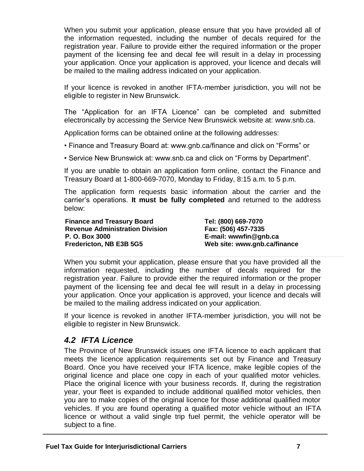When you submit your application, please ensure that you have provided all of the information requested, including the number of decals required for the registration year. Failure to provide either the required information or the proper payment of the licensing fee and decal fee will result in a delay in processing your application. Once your application is approved, your licence and decals will be mailed to the mailing address indicated on your application.

If your licence is revoked in another IFTA-member jurisdiction, you will not be eligible to register in New Brunswick.

The "Application for an IFTA Licence" can be completed and submitted electronically by accessing the Service New Brunswick website at: [www.snb.ca.](http://www.snb.ca/)

Application forms can be obtained online at the following addresses:

• Finance and Treasury Board at: www.gnb.ca/finance and click on "Forms" or

• Service New Brunswick at: www.snb.ca and click on "Forms by Department".

If you are unable to obtain an application form online, contact the Finance and Treasury Board at 1-800-669-7070, Monday to Friday, 8:15 a.m. to 5 p.m.

The application form requests basic information about the carrier and the carrier's operations. **It must be fully completed** and returned to the address below:

**Finance and Treasury Board Revenue Administration Division P. O. Box 3000 Fredericton, NB E3B 5G5**

**Tel: (800) 669-7070 Fax: (506) 457-7335 E-mail: [wwwfin@gnb.ca](mailto:wwwfin@gnb.ca) Web site: [www.gnb.ca/finance](http://www.gnb.ca/finance)**

When you submit your application, please ensure that you have provided all the information requested, including the number of decals required for the registration year. Failure to provide either the required information or the proper payment of the licensing fee and decal fee will result in a delay in processing your application. Once your application is approved, your licence and decals will be mailed to the mailing address indicated on your application.

If your licence is revoked in another IFTA-member jurisdiction, you will not be eligible to register in New Brunswick.

#### <span id="page-6-0"></span>*4.2 IFTA Licence*

The Province of New Brunswick issues one IFTA licence to each applicant that meets the licence application requirements set out by Finance and Treasury Board. Once you have received your IFTA licence, make legible copies of the original licence and place one copy in each of your qualified motor vehicles. Place the original licence with your business records. If, during the registration year, your fleet is expanded to include additional qualified motor vehicles, then you are to make copies of the original licence for those additional qualified motor vehicles. If you are found operating a qualified motor vehicle without an IFTA licence or without a valid single trip fuel permit, the vehicle operator will be subject to a fine.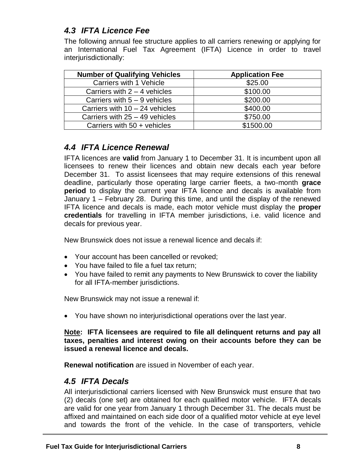### <span id="page-7-0"></span>*4.3 IFTA Licence Fee*

The following annual fee structure applies to all carriers renewing or applying for an International Fuel Tax Agreement (IFTA) Licence in order to travel interjurisdictionally:

| <b>Number of Qualifying Vehicles</b> | <b>Application Fee</b> |
|--------------------------------------|------------------------|
| Carriers with 1 Vehicle              | \$25.00                |
| Carriers with $2 - 4$ vehicles       | \$100.00               |
| Carriers with $5 - 9$ vehicles       | \$200.00               |
| Carriers with $10 - 24$ vehicles     | \$400.00               |
| Carriers with $25 - 49$ vehicles     | \$750.00               |
| Carriers with $50 +$ vehicles        | \$1500.00              |

### <span id="page-7-1"></span>*4.4 IFTA Licence Renewal*

IFTA licences are **valid** from January 1 to December 31. It is incumbent upon all licensees to renew their licences and obtain new decals each year before December 31. To assist licensees that may require extensions of this renewal deadline, particularly those operating large carrier fleets, a two-month **grace period** to display the current year IFTA licence and decals is available from January 1 – February 28. During this time, and until the display of the renewed IFTA licence and decals is made, each motor vehicle must display the **proper credentials** for travelling in IFTA member jurisdictions, i.e. valid licence and decals for previous year.

New Brunswick does not issue a renewal licence and decals if:

- Your account has been cancelled or revoked;
- You have failed to file a fuel tax return;
- You have failed to remit any payments to New Brunswick to cover the liability for all IFTA-member jurisdictions.

New Brunswick may not issue a renewal if:

• You have shown no interjurisdictional operations over the last year.

#### **Note: IFTA licensees are required to file all delinquent returns and pay all taxes, penalties and interest owing on their accounts before they can be issued a renewal licence and decals.**

<span id="page-7-2"></span>**Renewal notification** are issued in November of each year.

#### *4.5 IFTA Decals*

All interjurisdictional carriers licensed with New Brunswick must ensure that two (2) decals (one set) are obtained for each qualified motor vehicle. IFTA decals are valid for one year from January 1 through December 31. The decals must be affixed and maintained on each side door of a qualified motor vehicle at eye level and towards the front of the vehicle. In the case of transporters, vehicle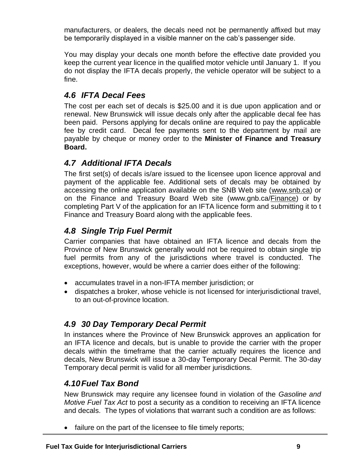manufacturers, or dealers, the decals need not be permanently affixed but may be temporarily displayed in a visible manner on the cab's passenger side.

You may display your decals one month before the effective date provided you keep the current year licence in the qualified motor vehicle until January 1. If you do not display the IFTA decals properly, the vehicle operator will be subject to a fine.

### <span id="page-8-0"></span>*4.6 IFTA Decal Fees*

The cost per each set of decals is \$25.00 and it is due upon application and or renewal. New Brunswick will issue decals only after the applicable decal fee has been paid. Persons applying for decals online are required to pay the applicable fee by credit card. Decal fee payments sent to the department by mail are payable by cheque or money order to the **Minister of Finance and Treasury Board.**

### <span id="page-8-1"></span>*4.7 Additional IFTA Decals*

The first set(s) of decals is/are issued to the licensee upon licence approval and payment of the applicable fee. Additional sets of decals may be obtained by accessing the online application available on the SNB Web site [\(www.snb.ca\)](http://www.snb.ca/) or on the Finance and Treasury Board Web site [\(www.gnb.ca/F](http://www.gnb.ca/)inance) or by completing Part V of the application for an IFTA licence form and submitting it to t Finance and Treasury Board along with the applicable fees.

### <span id="page-8-2"></span>*4.8 Single Trip Fuel Permit*

Carrier companies that have obtained an IFTA licence and decals from the Province of New Brunswick generally would not be required to obtain single trip fuel permits from any of the jurisdictions where travel is conducted. The exceptions, however, would be where a carrier does either of the following:

- accumulates travel in a non-IFTA member jurisdiction; or
- dispatches a broker, whose vehicle is not licensed for interjurisdictional travel, to an out-of-province location.

### <span id="page-8-3"></span>*4.9 30 Day Temporary Decal Permit*

In instances where the Province of New Brunswick approves an application for an IFTA licence and decals, but is unable to provide the carrier with the proper decals within the timeframe that the carrier actually requires the licence and decals, New Brunswick will issue a 30-day Temporary Decal Permit. The 30-day Temporary decal permit is valid for all member jurisdictions.

### <span id="page-8-4"></span>*4.10Fuel Tax Bond*

New Brunswick may require any licensee found in violation of the *Gasoline and Motive Fuel Tax Act* to post a security as a condition to receiving an IFTA licence and decals. The types of violations that warrant such a condition are as follows:

• failure on the part of the licensee to file timely reports;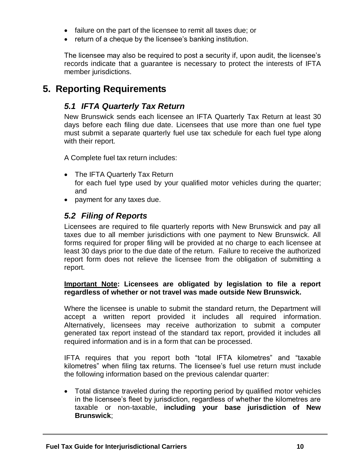- failure on the part of the licensee to remit all taxes due; or
- return of a cheque by the licensee's banking institution.

The licensee may also be required to post a security if, upon audit, the licensee's records indicate that a guarantee is necessary to protect the interests of IFTA member jurisdictions.

# <span id="page-9-1"></span><span id="page-9-0"></span>**5. Reporting Requirements**

#### *5.1 IFTA Quarterly Tax Return*

New Brunswick sends each licensee an IFTA Quarterly Tax Return at least 30 days before each filing due date. Licensees that use more than one fuel type must submit a separate quarterly fuel use tax schedule for each fuel type along with their report.

A Complete fuel tax return includes:

- The IFTA Quarterly Tax Return for each fuel type used by your qualified motor vehicles during the quarter; and
- <span id="page-9-2"></span>• payment for any taxes due.

#### *5.2 Filing of Reports*

Licensees are required to file quarterly reports with New Brunswick and pay all taxes due to all member jurisdictions with one payment to New Brunswick. All forms required for proper filing will be provided at no charge to each licensee at least 30 days prior to the due date of the return. Failure to receive the authorized report form does not relieve the licensee from the obligation of submitting a report.

#### **Important Note: Licensees are obligated by legislation to file a report regardless of whether or not travel was made outside New Brunswick.**

Where the licensee is unable to submit the standard return, the Department will accept a written report provided it includes all required information. Alternatively, licensees may receive authorization to submit a computer generated tax report instead of the standard tax report, provided it includes all required information and is in a form that can be processed.

IFTA requires that you report both "total IFTA kilometres" and "taxable kilometres" when filing tax returns. The licensee's fuel use return must include the following information based on the previous calendar quarter:

• Total distance traveled during the reporting period by qualified motor vehicles in the licensee's fleet by jurisdiction, regardless of whether the kilometres are taxable or non-taxable, **including your base jurisdiction of New Brunswick**;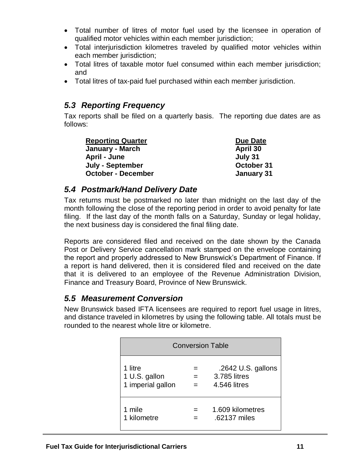- Total number of litres of motor fuel used by the licensee in operation of qualified motor vehicles within each member jurisdiction;
- Total interjurisdiction kilometres traveled by qualified motor vehicles within each member jurisdiction;
- Total litres of taxable motor fuel consumed within each member jurisdiction; and
- Total litres of tax-paid fuel purchased within each member jurisdiction.

### <span id="page-10-0"></span>*5.3 Reporting Frequency*

Tax reports shall be filed on a quarterly basis. The reporting due dates are as follows:

| <b>Reporting Quarter</b>  | <b>Due Date</b> |
|---------------------------|-----------------|
| <b>January - March</b>    | <b>April 30</b> |
| April - June              | July 31         |
| <b>July - September</b>   | October 31      |
| <b>October - December</b> | January 31      |

### <span id="page-10-1"></span>*5.4 Postmark/Hand Delivery Date*

Tax returns must be postmarked no later than midnight on the last day of the month following the close of the reporting period in order to avoid penalty for late filing. If the last day of the month falls on a Saturday, Sunday or legal holiday, the next business day is considered the final filing date.

Reports are considered filed and received on the date shown by the Canada Post or Delivery Service cancellation mark stamped on the envelope containing the report and properly addressed to New Brunswick's Department of Finance. If a report is hand delivered, then it is considered filed and received on the date that it is delivered to an employee of the Revenue Administration Division, Finance and Treasury Board, Province of New Brunswick.

### <span id="page-10-2"></span>*5.5 Measurement Conversion*

New Brunswick based IFTA licensees are required to report fuel usage in litres, and distance traveled in kilometres by using the following table. All totals must be rounded to the nearest whole litre or kilometre.

| <b>Conversion Table</b>                       |  |                                                    |  |
|-----------------------------------------------|--|----------------------------------------------------|--|
| 1 litre<br>1 U.S. gallon<br>1 imperial gallon |  | .2642 U.S. gallons<br>3.785 litres<br>4.546 litres |  |
| 1 mile<br>1 kilometre                         |  | 1.609 kilometres<br>.62137 miles                   |  |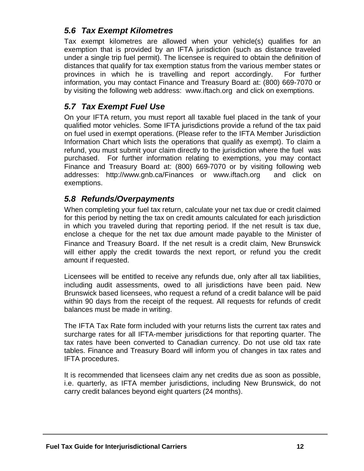### <span id="page-11-0"></span>*5.6 Tax Exempt Kilometres*

Tax exempt kilometres are allowed when your vehicle(s) qualifies for an exemption that is provided by an IFTA jurisdiction (such as distance traveled under a single trip fuel permit). The licensee is required to obtain the definition of distances that qualify for tax exemption status from the various member states or provinces in which he is travelling and report accordingly. For further information, you may contact Finance and Treasury Board at: (800) 669-7070 or by visiting the following web address: [www.iftach.org](http://www.iftach.org/) and click on exemptions.

### <span id="page-11-1"></span>*5.7 Tax Exempt Fuel Use*

On your IFTA return, you must report all taxable fuel placed in the tank of your qualified motor vehicles. Some IFTA jurisdictions provide a refund of the tax paid on fuel used in exempt operations. (Please refer to the IFTA Member Jurisdiction Information Chart which lists the operations that qualify as exempt). To claim a refund, you must submit your claim directly to the jurisdiction where the fuel was purchased. For further information relating to exemptions, you may contact Finance and Treasury Board at: (800) 669-7070 or by visiting following web addresses: [http://www.gnb.ca/F](http://www.gnb.ca/)inances or [www.iftach.org](http://www.iftach.org/) and click on exemptions.

### <span id="page-11-2"></span>*5.8 Refunds/Overpayments*

When completing your fuel tax return, calculate your net tax due or credit claimed for this period by netting the tax on credit amounts calculated for each jurisdiction in which you traveled during that reporting period. If the net result is tax due, enclose a cheque for the net tax due amount made payable to the Minister of Finance and Treasury Board. If the net result is a credit claim, New Brunswick will either apply the credit towards the next report, or refund you the credit amount if requested.

Licensees will be entitled to receive any refunds due, only after all tax liabilities, including audit assessments, owed to all jurisdictions have been paid. New Brunswick based licensees, who request a refund of a credit balance will be paid within 90 days from the receipt of the request. All requests for refunds of credit balances must be made in writing.

The IFTA Tax Rate form included with your returns lists the current tax rates and surcharge rates for all IFTA-member jurisdictions for that reporting quarter. The tax rates have been converted to Canadian currency. Do not use old tax rate tables. Finance and Treasury Board will inform you of changes in tax rates and IFTA procedures.

It is recommended that licensees claim any net credits due as soon as possible, i.e. quarterly, as IFTA member jurisdictions, including New Brunswick, do not carry credit balances beyond eight quarters (24 months).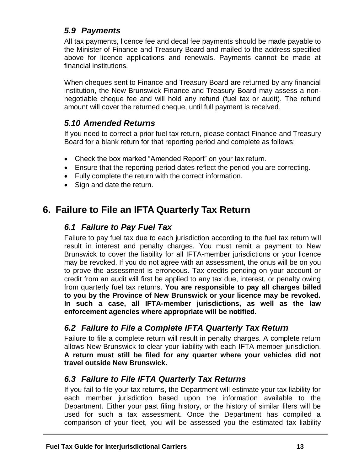### <span id="page-12-0"></span>*5.9 Payments*

All tax payments, licence fee and decal fee payments should be made payable to the Minister of Finance and Treasury Board and mailed to the address specified above for licence applications and renewals. Payments cannot be made at financial institutions.

When cheques sent to Finance and Treasury Board are returned by any financial institution, the New Brunswick Finance and Treasury Board may assess a nonnegotiable cheque fee and will hold any refund (fuel tax or audit). The refund amount will cover the returned cheque, until full payment is received.

### <span id="page-12-1"></span>*5.10 Amended Returns*

If you need to correct a prior fuel tax return, please contact Finance and Treasury Board for a blank return for that reporting period and complete as follows:

- Check the box marked "Amended Report" on your tax return.
- Ensure that the reporting period dates reflect the period you are correcting.
- Fully complete the return with the correct information.
- Sign and date the return.

# <span id="page-12-3"></span><span id="page-12-2"></span>**6. Failure to File an IFTA Quarterly Tax Return**

### *6.1 Failure to Pay Fuel Tax*

Failure to pay fuel tax due to each jurisdiction according to the fuel tax return will result in interest and penalty charges. You must remit a payment to New Brunswick to cover the liability for all IFTA-member jurisdictions or your licence may be revoked. If you do not agree with an assessment, the onus will be on you to prove the assessment is erroneous. Tax credits pending on your account or credit from an audit will first be applied to any tax due, interest, or penalty owing from quarterly fuel tax returns. **You are responsible to pay all charges billed to you by the Province of New Brunswick or your licence may be revoked. In such a case, all IFTA-member jurisdictions, as well as the law enforcement agencies where appropriate will be notified.**

## <span id="page-12-4"></span>*6.2 Failure to File a Complete IFTA Quarterly Tax Return*

Failure to file a complete return will result in penalty charges. A complete return allows New Brunswick to clear your liability with each IFTA-member jurisdiction. **A return must still be filed for any quarter where your vehicles did not travel outside New Brunswick.**

### <span id="page-12-5"></span>*6.3 Failure to File IFTA Quarterly Tax Returns*

If you fail to file your tax returns, the Department will estimate your tax liability for each member jurisdiction based upon the information available to the Department. Either your past filing history, or the history of similar filers will be used for such a tax assessment. Once the Department has compiled a comparison of your fleet, you will be assessed you the estimated tax liability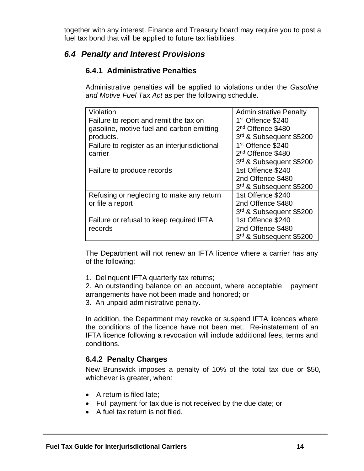together with any interest. Finance and Treasury board may require you to post a fuel tax bond that will be applied to future tax liabilities.

#### <span id="page-13-1"></span><span id="page-13-0"></span>*6.4 Penalty and Interest Provisions*

#### **6.4.1 Administrative Penalties**

Administrative penalties will be applied to violations under the *Gasoline and Motive Fuel Tax Act* as per the following schedule.

| Violation                                     | <b>Administrative Penalty</b> |
|-----------------------------------------------|-------------------------------|
| Failure to report and remit the tax on        | 1 <sup>st</sup> Offence \$240 |
| gasoline, motive fuel and carbon emitting     | 2 <sup>nd</sup> Offence \$480 |
| products.                                     | 3rd & Subsequent \$5200       |
| Failure to register as an interjurisdictional | 1 <sup>st</sup> Offence \$240 |
| carrier                                       | 2 <sup>nd</sup> Offence \$480 |
|                                               | 3rd & Subsequent \$5200       |
| Failure to produce records                    | 1st Offence \$240             |
|                                               | 2nd Offence \$480             |
|                                               | 3rd & Subsequent \$5200       |
| Refusing or neglecting to make any return     | 1st Offence \$240             |
| or file a report                              | 2nd Offence \$480             |
|                                               | 3rd & Subsequent \$5200       |
| Failure or refusal to keep required IFTA      | 1st Offence \$240             |
| records                                       | 2nd Offence \$480             |
|                                               | 3rd & Subsequent \$5200       |

The Department will not renew an IFTA licence where a carrier has any of the following:

1. Delinquent IFTA quarterly tax returns;

2. An outstanding balance on an account, where acceptable payment arrangements have not been made and honored; or

3. An unpaid administrative penalty.

In addition, the Department may revoke or suspend IFTA licences where the conditions of the licence have not been met. Re-instatement of an IFTA licence following a revocation will include additional fees, terms and conditions.

#### <span id="page-13-2"></span>**6.4.2 Penalty Charges**

New Brunswick imposes a penalty of 10% of the total tax due or \$50, whichever is greater, when:

- A return is filed late;
- Full payment for tax due is not received by the due date; or
- A fuel tax return is not filed.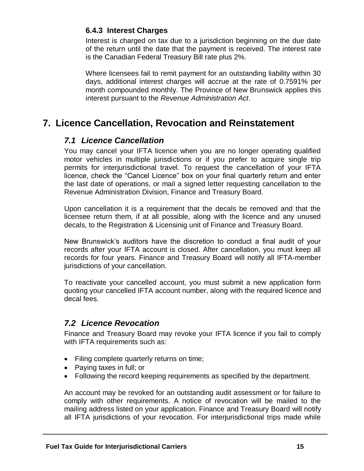#### <span id="page-14-0"></span>**6.4.3 Interest Charges**

Interest is charged on tax due to a jurisdiction beginning on the due date of the return until the date that the payment is received. The interest rate is the Canadian Federal Treasury Bill rate plus 2%.

Where licensees fail to remit payment for an outstanding liability within 30 days, additional interest charges will accrue at the rate of 0.7591% per month compounded monthly. The Province of New Brunswick applies this interest pursuant to the *Revenue Administration Act*.

# <span id="page-14-2"></span><span id="page-14-1"></span>**7. Licence Cancellation, Revocation and Reinstatement**

### *7.1 Licence Cancellation*

You may cancel your IFTA licence when you are no longer operating qualified motor vehicles in multiple jurisdictions or if you prefer to acquire single trip permits for interjurisdictional travel. To request the cancellation of your IFTA licence, check the "Cancel Licence" box on your final quarterly return and enter the last date of operations, or mail a signed letter requesting cancellation to the Revenue Administration Division, Finance and Treasury Board.

Upon cancellation it is a requirement that the decals be removed and that the licensee return them, if at all possible, along with the licence and any unused decals, to the Registration & Licensinig unit of Finance and Treasury Board.

New Brunswick's auditors have the discretion to conduct a final audit of your records after your IFTA account is closed. After cancellation, you must keep all records for four years. Finance and Treasury Board will notify all IFTA-member jurisdictions of your cancellation.

To reactivate your cancelled account, you must submit a new application form quoting your cancelled IFTA account number, along with the required licence and decal fees.

#### <span id="page-14-3"></span>*7.2 Licence Revocation*

Finance and Treasury Board may revoke your IFTA licence if you fail to comply with IFTA requirements such as:

- Filing complete quarterly returns on time;
- Paying taxes in full; or
- Following the record keeping requirements as specified by the department.

An account may be revoked for an outstanding audit assessment or for failure to comply with other requirements. A notice of revocation will be mailed to the mailing address listed on your application. Finance and Treasury Board will notify all IFTA jurisdictions of your revocation. For interjurisdictional trips made while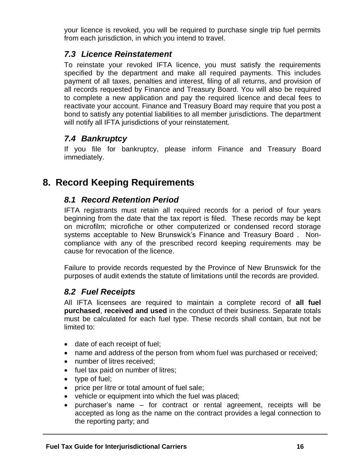your licence is revoked, you will be required to purchase single trip fuel permits from each jurisdiction, in which you intend to travel.

### <span id="page-15-0"></span>*7.3 Licence Reinstatement*

To reinstate your revoked IFTA licence, you must satisfy the requirements specified by the department and make all required payments. This includes payment of all taxes, penalties and interest, filing of all returns, and provision of all records requested by Finance and Treasury Board. You will also be required to complete a new application and pay the required licence and decal fees to reactivate your account. Finance and Treasury Board may require that you post a bond to satisfy any potential liabilities to all member jurisdictions. The department will notify all IFTA jurisdictions of your reinstatement.

### <span id="page-15-1"></span>*7.4 Bankruptcy*

If you file for bankruptcy, please inform Finance and Treasury Board immediately.

# <span id="page-15-3"></span><span id="page-15-2"></span>**8. Record Keeping Requirements**

#### *8.1 Record Retention Period*

IFTA registrants must retain all required records for a period of four years beginning from the date that the tax report is filed. These records may be kept on microfilm; microfiche or other computerized or condensed record storage systems acceptable to New Brunswick's Finance and Treasury Board . Noncompliance with any of the prescribed record keeping requirements may be cause for revocation of the licence.

Failure to provide records requested by the Province of New Brunswick for the purposes of audit extends the statute of limitations until the records are provided.

#### <span id="page-15-4"></span>*8.2 Fuel Receipts*

All IFTA licensees are required to maintain a complete record of **all fuel purchased**, **received and used** in the conduct of their business. Separate totals must be calculated for each fuel type. These records shall contain, but not be limited to:

- date of each receipt of fuel;
- name and address of the person from whom fuel was purchased or received;
- number of litres received:
- fuel tax paid on number of litres;
- type of fuel;
- price per litre or total amount of fuel sale;
- vehicle or equipment into which the fuel was placed;
- purchaser's name for contract or rental agreement, receipts will be accepted as long as the name on the contract provides a legal connection to the reporting party; and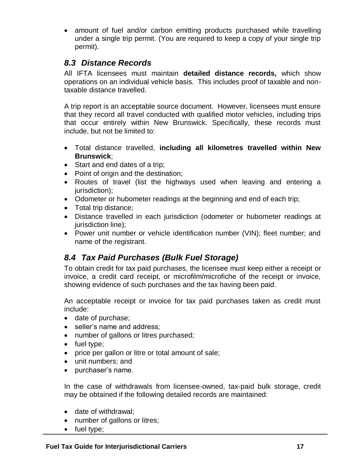• amount of fuel and/or carbon emitting products purchased while travelling under a single trip permit. (You are required to keep a copy of your single trip permit).

#### <span id="page-16-0"></span>*8.3 Distance Records*

All IFTA licensees must maintain **detailed distance records,** which show operations on an individual vehicle basis. This includes proof of taxable and nontaxable distance travelled.

A trip report is an acceptable source document. However, licensees must ensure that they record all travel conducted with qualified motor vehicles, including trips that occur entirely within New Brunswick. Specifically, these records must include, but not be limited to:

- Total distance travelled, **including all kilometres travelled within New Brunswick**;
- Start and end dates of a trip;
- Point of origin and the destination;
- Routes of travel (list the highways used when leaving and entering a jurisdiction);
- Odometer or hubometer readings at the beginning and end of each trip;
- Total trip distance;
- Distance travelled in each jurisdiction (odometer or hubometer readings at jurisdiction line);
- Power unit number or vehicle identification number (VIN); fleet number; and name of the registrant.

### <span id="page-16-1"></span>*8.4 Tax Paid Purchases (Bulk Fuel Storage)*

To obtain credit for tax paid purchases, the licensee must keep either a receipt or invoice, a credit card receipt, or microfilm/microfiche of the receipt or invoice, showing evidence of such purchases and the tax having been paid.

An acceptable receipt or invoice for tax paid purchases taken as credit must include:

- date of purchase;
- seller's name and address;
- number of gallons or litres purchased;
- fuel type;
- price per gallon or litre or total amount of sale;
- unit numbers: and
- purchaser's name.

In the case of withdrawals from licensee-owned, tax-paid bulk storage, credit may be obtained if the following detailed records are maintained:

- date of withdrawal;
- number of gallons or litres;
- fuel type;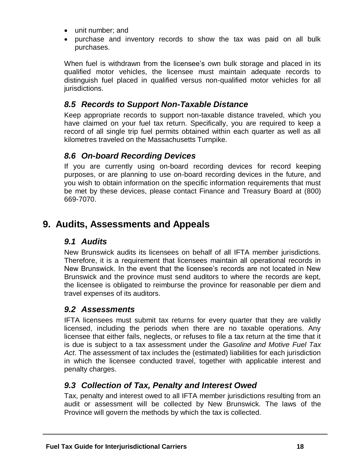- unit number; and
- purchase and inventory records to show the tax was paid on all bulk purchases.

When fuel is withdrawn from the licensee's own bulk storage and placed in its qualified motor vehicles, the licensee must maintain adequate records to distinguish fuel placed in qualified versus non-qualified motor vehicles for all jurisdictions.

#### <span id="page-17-0"></span>*8.5 Records to Support Non-Taxable Distance*

Keep appropriate records to support non-taxable distance traveled, which you have claimed on your fuel tax return. Specifically, you are required to keep a record of all single trip fuel permits obtained within each quarter as well as all kilometres traveled on the Massachusetts Turnpike.

#### <span id="page-17-1"></span>*8.6 On-board Recording Devices*

If you are currently using on-board recording devices for record keeping purposes, or are planning to use on-board recording devices in the future, and you wish to obtain information on the specific information requirements that must be met by these devices, please contact Finance and Treasury Board at (800) 669-7070.

# <span id="page-17-3"></span><span id="page-17-2"></span>**9. Audits, Assessments and Appeals**

#### *9.1 Audits*

New Brunswick audits its licensees on behalf of all IFTA member jurisdictions. Therefore, it is a requirement that licensees maintain all operational records in New Brunswick. In the event that the licensee's records are not located in New Brunswick and the province must send auditors to where the records are kept, the licensee is obligated to reimburse the province for reasonable per diem and travel expenses of its auditors.

#### <span id="page-17-4"></span>*9.2 Assessments*

IFTA licensees must submit tax returns for every quarter that they are validly licensed, including the periods when there are no taxable operations. Any licensee that either fails, neglects, or refuses to file a tax return at the time that it is due is subject to a tax assessment under the *Gasoline and Motive Fuel Tax Act*. The assessment of tax includes the (estimated) liabilities for each jurisdiction in which the licensee conducted travel, together with applicable interest and penalty charges.

#### <span id="page-17-5"></span>*9.3 Collection of Tax, Penalty and Interest Owed*

Tax, penalty and interest owed to all IFTA member jurisdictions resulting from an audit or assessment will be collected by New Brunswick. The laws of the Province will govern the methods by which the tax is collected.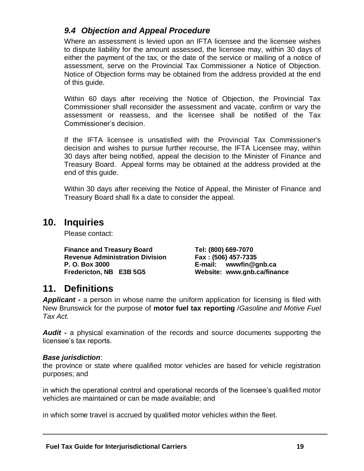#### <span id="page-18-0"></span>*9.4 Objection and Appeal Procedure*

Where an assessment is levied upon an IFTA licensee and the licensee wishes to dispute liability for the amount assessed, the licensee may, within 30 days of either the payment of the tax, or the date of the service or mailing of a notice of assessment, serve on the Provincial Tax Commissioner a Notice of Objection. Notice of Objection forms may be obtained from the address provided at the end of this guide.

Within 60 days after receiving the Notice of Objection, the Provincial Tax Commissioner shall reconsider the assessment and vacate, confirm or vary the assessment or reassess, and the licensee shall be notified of the Tax Commissioner's decision.

If the IFTA licensee is unsatisfied with the Provincial Tax Commissioner's decision and wishes to pursue further recourse, the IFTA Licensee may, within 30 days after being notified, appeal the decision to the Minister of Finance and Treasury Board. Appeal forms may be obtained at the address provided at the end of this guide.

Within 30 days after receiving the Notice of Appeal, the Minister of Finance and Treasury Board shall fix a date to consider the appeal.

### <span id="page-18-1"></span>**10. Inquiries**

Please contact:

**Finance and Treasury Board Revenue Administration Division P. O. Box 3000 Fredericton, NB E3B 5G5**

**Tel: (800) 669-7070 Fax : (506) 457-7335 E-mail: [wwwfin@gnb.ca](mailto:wwwfin@gnb.ca) Website: [www.gnb.ca/finance](http://www.gnb.ca/finance)**

# <span id="page-18-2"></span>**11. Definitions**

**Applicant** - a person in whose name the uniform application for licensing is filed with New Brunswick for the purpose of **motor fuel tax reporting** /*Gasoline and Motive Fuel Tax Act.* 

*Audit -* a physical examination of the records and source documents supporting the licensee's tax reports.

#### *Base jurisdiction*:

the province or state where qualified motor vehicles are based for vehicle registration purposes; and

in which the operational control and operational records of the licensee's qualified motor vehicles are maintained or can be made available; and

in which some travel is accrued by qualified motor vehicles within the fleet.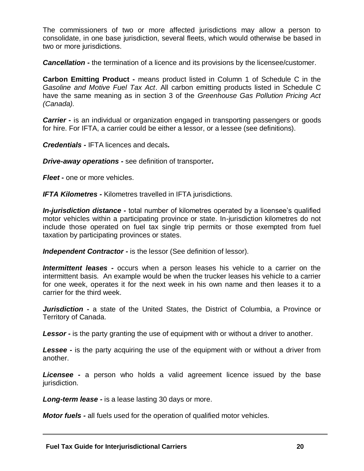The commissioners of two or more affected jurisdictions may allow a person to consolidate, in one base jurisdiction, several fleets, which would otherwise be based in two or more jurisdictions.

*Cancellation -* the termination of a licence and its provisions by the licensee/customer.

**Carbon Emitting Product -** means product listed in Column 1 of Schedule C in the *Gasoline and Motive Fuel Tax Act*. All carbon emitting products listed in Schedule C have the same meaning as in section 3 of the *Greenhouse Gas Pollution Pricing Act (Canada).*

**Carrier** - is an individual or organization engaged in transporting passengers or goods for hire. For IFTA, a carrier could be either a lessor, or a lessee (see definitions).

*Credentials -* IFTA licences and decals*.*

*Drive-away operations -* see definition of transporter*.*

*Fleet -* one or more vehicles.

*IFTA Kilometres -* Kilometres travelled in IFTA jurisdictions.

*In-jurisdiction distance -* total number of kilometres operated by a licensee's qualified motor vehicles within a participating province or state. In-jurisdiction kilometres do not include those operated on fuel tax single trip permits or those exempted from fuel taxation by participating provinces or states.

*Independent Contractor -* is the lessor (See definition of lessor).

*Intermittent leases -* occurs when a person leases his vehicle to a carrier on the intermittent basis. An example would be when the trucker leases his vehicle to a carrier for one week, operates it for the next week in his own name and then leases it to a carrier for the third week.

*Jurisdiction -* a state of the United States, the District of Columbia, a Province or Territory of Canada.

**Lessor** - is the party granting the use of equipment with or without a driver to another.

**Lessee** - is the party acquiring the use of the equipment with or without a driver from another.

*Licensee -* a person who holds a valid agreement licence issued by the base jurisdiction.

*Long-term lease -* is a lease lasting 30 days or more.

*Motor fuels -* all fuels used for the operation of qualified motor vehicles.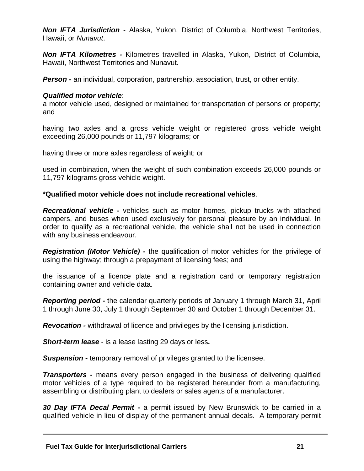*Non IFTA Jurisdiction* - Alaska, Yukon, District of Columbia, Northwest Territories, Hawaii, or *Nunavut*.

*Non IFTA Kilometres -* Kilometres travelled in Alaska, Yukon, District of Columbia, Hawaii, Northwest Territories and Nunavut.

*Person -* an individual, corporation, partnership, association, trust, or other entity.

#### *Qualified motor vehicle*:

a motor vehicle used, designed or maintained for transportation of persons or property; and

having two axles and a gross vehicle weight or registered gross vehicle weight exceeding 26,000 pounds or 11,797 kilograms; or

having three or more axles regardless of weight; or

used in combination, when the weight of such combination exceeds 26,000 pounds or 11,797 kilograms gross vehicle weight.

**\*Qualified motor vehicle does not include recreational vehicles**.

*Recreational vehicle -* vehicles such as motor homes, pickup trucks with attached campers, and buses when used exclusively for personal pleasure by an individual. In order to qualify as a recreational vehicle, the vehicle shall not be used in connection with any business endeavour.

*Registration (Motor Vehicle) -* the qualification of motor vehicles for the privilege of using the highway; through a prepayment of licensing fees; and

the issuance of a licence plate and a registration card or temporary registration containing owner and vehicle data.

*Reporting period -* the calendar quarterly periods of January 1 through March 31, April 1 through June 30, July 1 through September 30 and October 1 through December 31.

*Revocation -* withdrawal of licence and privileges by the licensing jurisdiction.

*Short-term lease* - is a lease lasting 29 days or less*.*

*Suspension -* temporary removal of privileges granted to the licensee.

*Transporters* **-** means every person engaged in the business of delivering qualified motor vehicles of a type required to be registered hereunder from a manufacturing, assembling or distributing plant to dealers or sales agents of a manufacturer*.*

*30 Day IFTA Decal Permit -* a permit issued by New Brunswick to be carried in a qualified vehicle in lieu of display of the permanent annual decals. A temporary permit